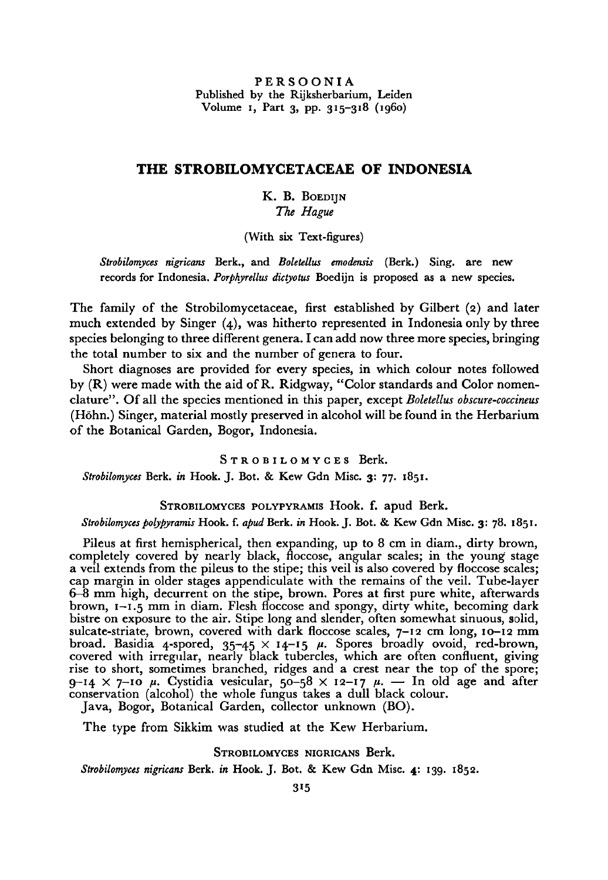PERSOONIA Published by the Rijksherbarium, Leiden Volume i, Part 3, pp. 315-318 (i960)

# The Strobilomycetaceae of Indonesia

## K.B. Boedijn The Hague

(With six Text-figures)

Strobilomyces nigricans Berk., and Boletellus emodensis (Berk.) Sing, are new records for Indonesia. Porphyrellus dictyotus Boedijn is proposed as a new species.

The family of the Strobilomycetaceae, first established by Gilbert (2) and later much extended by Singer (4), was hitherto represented in Indonesia only by three species belonging to three different genera. I can add now threemore species, bringing the total number to six and the number of genera to four.

Short diagnoses are provided for every species, in which colour notes followed by (R) were made with the aid ofR. Ridgway, "Color standards and Color nomenclature". Of all the species mentioned in this paper, except Boletellus obscure-coccineus (Hohn.) Singer, material mostly preserved inalcohol will be found in the Herbarium of the Botanical Garden, Bogor, Indonesia.

STROBILOMYCES Berk. Strobilomyces Berk. in Hook. J. Bot. & Kew Gdn Misc. 3: 77. 1851.

STROBILOMYCES POLYPYRAMIS Hook. f. apud Berk.

### Strobilomyces polypyramis Hook. f. apud Berk, in Hook. J. Bot. & Kew Gdn Misc. 3: 78. 1851.

Pileus at first hemispherical, then expanding, up to 8 cm in diam., dirty brown, completely covered by nearly black, floccose, angular scales; in the young stage a veil extends from the pileus to the stipe; this veil is also covered by floccose scales; cap margin in older stages appendiculate with the remains of the veil. Tube-layer 6—8 mm high, decurrent on the stipe, brown. Pores at first pure white, afterwards brown,  $1-\tilde{i}, \tilde{j}$  mm in diam. Flesh floccose and spongy, dirty white, becoming dark bistre on exposure to the air. Stipe long and slender, often somewhat sinuous, solid, sulcate-striate, brown, covered with dark floccose scales,  $7-\frac{12}{2}$  cm long,  $10-\frac{12}{2}$  mm broad. Basidia 4-spored,  $35-45 \times 14-15$   $\mu$ . Spores broadly ovoid, red-brown, covered with irregular, nearly black tubercles, which are often confluent, giving rise to short, sometimes branched, ridges and <sup>a</sup> crest near the top of the spore; 9-14  $\times$  7-10  $\mu$ . Cystidia vesicular, 50-58  $\times$  12-17  $\mu$ . — In old age and after conservation (alcohol) the whole fungus takes a dull black colour. Java, Bogor, Botanical Garden, collector unknown (BO).

The type from Sikkim was studied at the Kew Herbarium.

STROBILOMYCES NIGRICANS Berk.

Strobilomyces nigricans Berk. in Hook. J. Bot. & Kew Gdn Misc. 4: 139. 1852.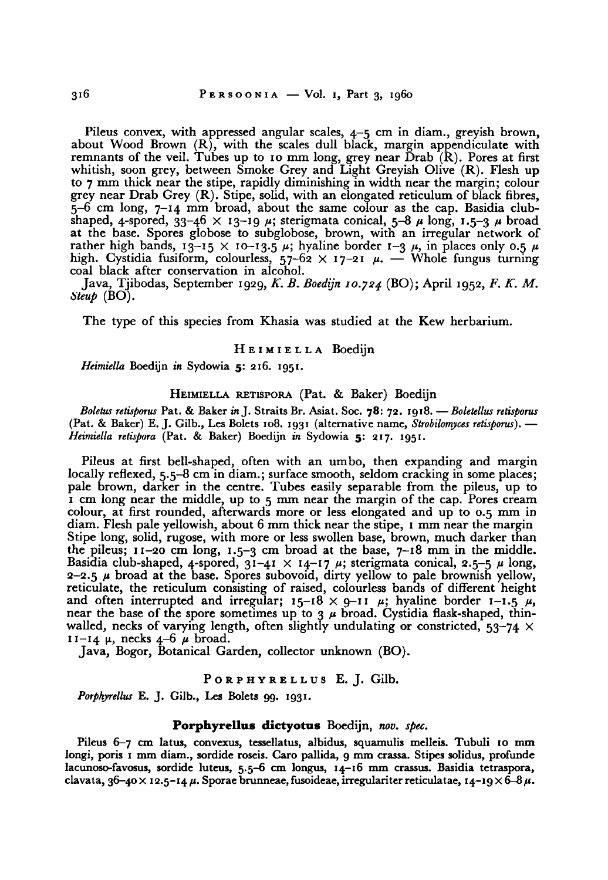Pileus convex, with appressed angular scales, 4-5 cm in diam., greyish brown, about Wood Brown  $(R)$ , with the scales dull black, margin appendiculate with remnants of the veil. Tubes up to <sup>10</sup> mm long, grey near Drab (R). Pores at first whitish, soon grey, between Smoke Grey and Light Greyish Olive (R). Flesh up to <sup>7</sup> mm thick near the stipe, rapidly diminishing in width near the margin; colour grey near Drab Grey (R). Stipe, solid, with an elongated reticulum of black fibres,  $5-6$  cm long,  $7-14$  mm broad, about the same colour as the cap. Basidia clubshaped, 4-spored,  $33-46 \times 13-19 \mu$ ; sterigmata conical,  $5-8 \mu$  long,  $1.5-3 \mu$  broad at the base. Spores globose to subglobose, brown, with an irregular network of rather high bands,  $13-15 \times 10-13.5 \mu$ ; hyaline border  $1-3 \mu$ , in places only 0.5  $\mu$ high. Cystidia fusiform, colourless,  $57-62 \times 17-21$   $\mu$ . — Whole fungus turning coal black after conservation in alcohol.

Java, Tjibodas, September 1929, K. B. Boedijn 10.724 (BO); April 1952, F. K. M. Steup  $(BO)$ .

The type of this species from Khasia was studied at the Kew herbarium.

## HEIMIELLA Boedijn

Heimiella Boedijn in Sydowia 5: 216. 1951.

## HEIMIELLA RETISPORA (Pat. & Baker) Boedijn

Boletus retisporus Pat. & Baker in J. Straits Br. Asiat. Soc. 78: 72. 1918. — Boletellus retisporus (Pat. & Baker) E. J. Gilb., Les Bolets 108. 1931 (alternative name, Strobilomyces retisporus). -Heimiella retispora (Pat. & Baker) Boedijn in Sydowia 5: 217. 1951.

Pileus at first bell-shaped, often with an umbo, then expanding and margin locally reflexed, 5.5–8 cm in diam.; surface smooth, seldom cracking in some places; pale brown, darker in the centre. Tubes easily separable from the pileus, up to <sup>1</sup> cm long near the middle, up to <sup>5</sup> mm near the margin of the cap. Pores cream colour, at first rounded, afterwards more or less elongated and up to 0.5 mm in diam. Flesh pale yellowish, about <sup>6</sup> mm thick near the stipe, <sup>1</sup> mm near the margin Stipe long, solid, rugose, with more or less swollen base, brown, much darker than the pileus;  $11-20$  cm long,  $1.5-3$  cm broad at the base,  $7-18$  mm in the middle. Basidia club-shaped, 4-spored,  $31-41 \times 14-17$   $\mu$ ; sterigmata conical, 2.5-5  $\mu$  long, 2-2.5  $\mu$  broad at the base. Spores subovoid, dirty yellow to pale brownish yellow, reticulate, the reticulum consisting of raised, colourless bands of different height and often interrupted and irregular;  $15-\overline{18} \times \overline{9}-11 \mu$ ; hyaline border 1-1.5  $\mu$ , near the base of the spore sometimes up to 3  $\mu$  broad. Cystidia flask-shaped, thinwalled, necks of varying length, often slightly undulating or constricted,  $53-74 \times$  $11 - 14 \mu$ , necks  $4 - 6 \mu$  broad.

Java, Bogor, Botanical Garden, collector unknown (BO).

#### PORPHYRELLUS E. J. Gilb.

Porphyrellus E. J. Gilb., Les Bolets 99. 1931.

### Porphyrellus dictyotus Boedijn, nov. spec.

Pileus 6-7 cm latus, convexus, tessellatus, albidus, squamulis melleis. Tubuli <sup>10</sup> mm longi, poris <sup>1</sup> mm diam., sordide roseis. Caro pallida, <sup>9</sup> mm crassa. Stipes solidus, profunde lacunoso-favosus, sordide luteus, 5.5-6 cm longus, 14-16 mm crassus. Basidia tetraspora, clavata, 36-40  $\times$  12.5-14  $\mu$ . Sporae brunneae, fusoideae, irregulariter reticulatae, 14-19  $\times$  6-8  $\mu$ .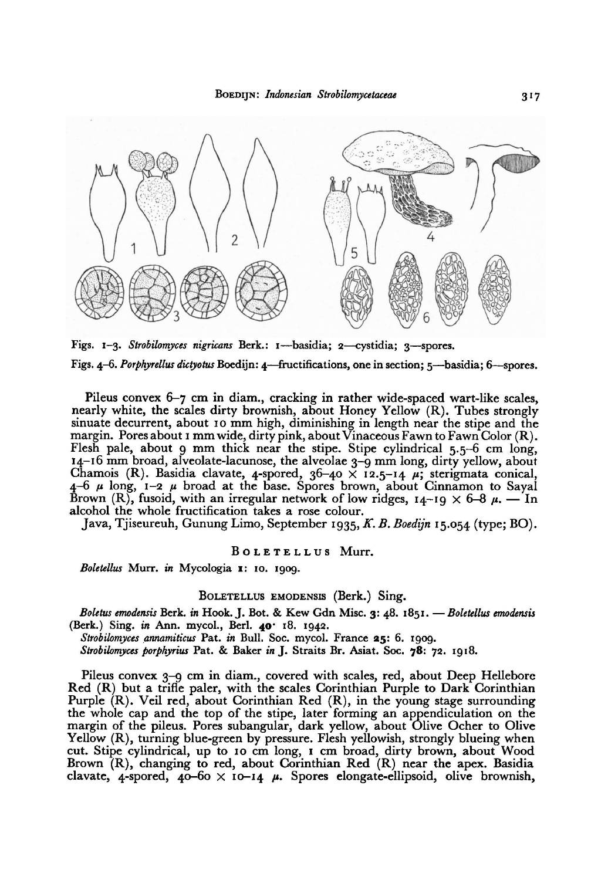

Figs. 1-3. Strobilomyces nigricans Berk.: 1--basidia; 2-cystidia; 3-spores. Figs. 4-6. Porphyrellus dictyotus Boedijn: 4-fructifications, one in section; 5-basidia; 6-spores.

Pileus convex 6—7 cm in diam., cracking in rather wide-spaced wart-like scales, nearly white, the scales dirty brownish, about Honey Yellow (R). Tubes strongly sinuate decurrent, about <sup>10</sup> mm high, diminishing in length near the stipe and the margin. Pores about 1 mm wide, dirty pink, about Vinaceous Fawn to Fawn Color  $(R)$ . Flesh pale, about 9 mm thick near the stipe. Stipe cylindrical  $5.5-6$  cm long, 14-16 mm broad, alveolate-lacunose, the alveolae 3-9 mm long, dirty yellow, about Chamois (R). Basidia clavate, 4-spored,  $36-40 \times 12.5-14$   $\mu$ ; sterigmata conical  $4-6$   $\mu$  long,  $1-2$   $\mu$  broad at the base. Spores brown, about Cinnamon to Sayal Brown (R), fusoid, with an irregular network of low ridges,  $14-19 \times 6-8 \mu$ . — In alcohol the whole fructification takes a rose colour.

Java, Tjiseureuh, Gunung Limo, September 1935,K. B. Boedijn 15.054 (type; BO).

#### BOLETELLUS Murr.

Boletellus Murr. in Mycologia 1: 10. 1909.

#### BOLETELLUS EMODENSIS (Berk.) Sing.

Boletus emodensis Berk, in Hook. J. Bot. & Kew Gdn Misc. 3: 48. 1851. — Boletellus emodensis (Berk.) Sing, in Ann. mycol., Berl. 40' 18. 1942.

Strobilomyces annamiticus Pat. in Bull. Soc. mycol. France 25: 6. 1909.

Strobilomyces porphyrius Pat. & Baker in J. Straits Br. Asiat. Soc. 78: 72. 1918.

Pileus convex 3–9 cm in diam., covered with scales, red, about Deep Hellebore Red (R) but a trifle paler, with the scales Corinthian Purple to Dark Corinthian Purple  $(R)$ . Veil red, about Corinthian Red  $(R)$ , in the young stage surrounding the whole cap and the top of the stipe, later forming an appendiculation on the margin of the pileus. Pores subangular, dark yellow, about Olive Ocher to Olive Yellow (R), turning blue-green by pressure. Flesh yellowish, strongly blueing when cut. Stipe cylindrical, up to <sup>10</sup> cm long, <sup>1</sup> cm broad, dirty brown, about Wood Brown (R), changing to red, about Corinthian Red (R) near the apex. Basidia clavate, 4-spored,  $40-60 \times 10-14$   $\mu$ . Spores elongate-ellipsoid, olive brownish,